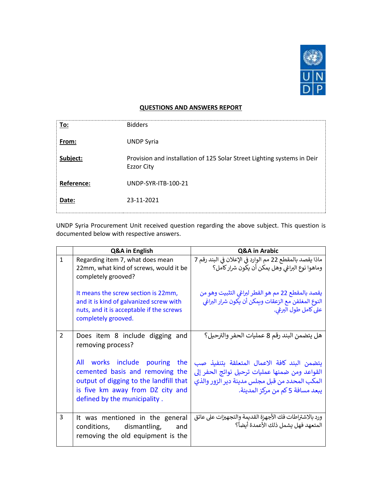

## **QUESTIONS AND ANSWERS REPORT**

| To:        | <b>Bidders</b>                                                                               |
|------------|----------------------------------------------------------------------------------------------|
| From:      | <b>UNDP Syria</b>                                                                            |
| Subject:   | Provision and installation of 125 Solar Street Lighting systems in Deir<br><b>Ezzor City</b> |
| Reference: | UNDP-SYR-ITB-100-21                                                                          |
| Date:      | 23-11-2021                                                                                   |

UNDP Syria Procurement Unit received question regarding the above subject. This question is documented below with respective answers.

|              | Q&A in English                                                                                                                                                                 | Q&A in Arabic                                                                                                                                                                       |
|--------------|--------------------------------------------------------------------------------------------------------------------------------------------------------------------------------|-------------------------------------------------------------------------------------------------------------------------------------------------------------------------------------|
| $\mathbf{1}$ | Regarding item 7, what does mean<br>22mm, what kind of screws, would it be<br>completely grooved?                                                                              | ماذا يقصد بالمقطع 22 مم الوارد في الإعلان في البند رقم 7<br>وماهوا نوع البراغي وهل يمكن أن يكون شرار كامل؟                                                                          |
|              | It means the screw section is 22mm,<br>and it is kind of galvanized screw with<br>nuts, and it is acceptable if the screws<br>completely grooved.                              | يقصد بالمقطع 22 مم هو القطر لبراغي التثبيت وهو من<br>النوع المغلفن مع الزعقات ويمكن أن يكون شرار البراغي<br>على كامل طول البرغي.                                                    |
| 2            | Does item 8 include digging and<br>removing process?                                                                                                                           | هل يتضمن البند رقم 8 عمليات الحفر والترحيل؟                                                                                                                                         |
|              | All works include pouring the<br>cemented basis and removing the<br>output of digging to the landfill that<br>is five km away from DZ city and<br>defined by the municipality. | يتضمن البند كافة الاعمال المتعلقة بتنفيذ صب<br>القواعد ومن ضمنها عمليات ترحيل نواتج الحفر إلى<br>المكب المحدد من قبل مجلس مدينة دير الزور والذي<br>يبعد مسافة 5 كم من مركز المدينة. |
| 3            | It was mentioned in the general<br>conditions, dismantling,<br>and<br>removing the old equipment is the                                                                        | ورد بالاشتراطات فك الأجهزة القديمة والتجهيزات على عاتق<br>المتعهد فهل يشمل ذلك الأعمدة أيضاً؟                                                                                       |